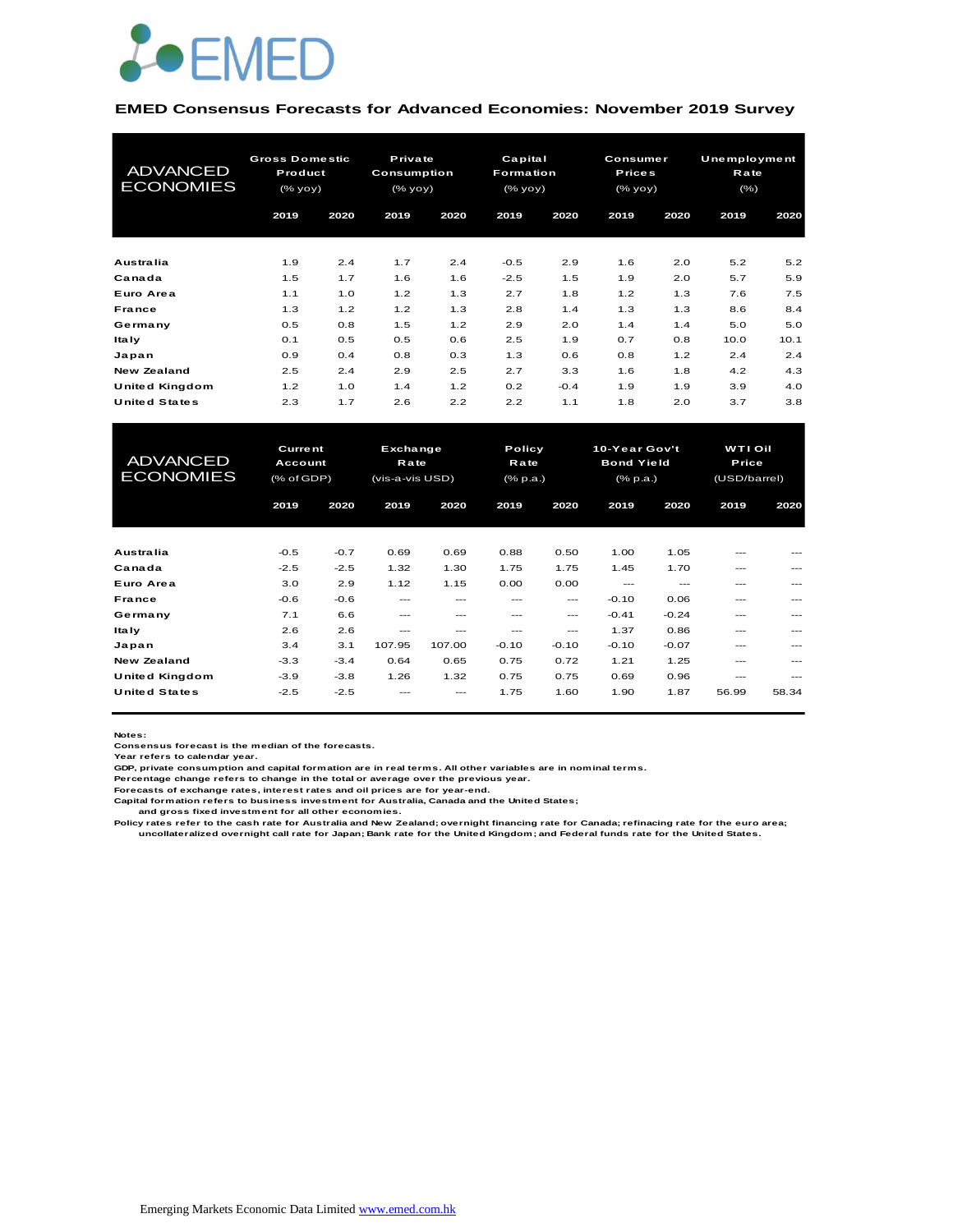

#### **EMED Consensus Forecasts for Advanced Economies: November 2019 Survey**

| <b>ADVANCED</b><br><b>ECONOMIES</b> | <b>Gross Domestic</b><br>Product<br>(% yoy) |      | Private<br><b>Consumption</b><br>(% yoy) |      | Capital<br>Formation<br>(% yoy) |        |      | Consumer<br><b>Prices</b><br>(% yoy) |      | <b>Unemployment</b><br>Rate<br>$(\% )$ |
|-------------------------------------|---------------------------------------------|------|------------------------------------------|------|---------------------------------|--------|------|--------------------------------------|------|----------------------------------------|
|                                     | 2019                                        | 2020 | 2019                                     | 2020 | 2019                            | 2020   | 2019 | 2020                                 | 2019 | 2020                                   |
| Australia                           | 1.9                                         | 2.4  | 1.7                                      | 2.4  | $-0.5$                          | 2.9    | 1.6  | 2.0                                  | 5.2  | 5.2                                    |
| Canada                              | 1.5                                         | 1.7  | 1.6                                      | 1.6  | $-2.5$                          | 1.5    | 1.9  | 2.0                                  | 5.7  | 5.9                                    |
| Euro Area                           | 1.1                                         | 1.0  | 1.2                                      | 1.3  | 2.7                             | 1.8    | 1.2  | 1.3                                  | 7.6  | 7.5                                    |
| France                              | 1.3                                         | 1.2  | 1.2                                      | 1.3  | 2.8                             | 1.4    | 1.3  | 1.3                                  | 8.6  | 8.4                                    |
| Germany                             | 0.5                                         | 0.8  | 1.5                                      | 1.2  | 2.9                             | 2.0    | 1.4  | 1.4                                  | 5.0  | 5.0                                    |
| Italy                               | 0.1                                         | 0.5  | 0.5                                      | 0.6  | 2.5                             | 1.9    | 0.7  | 0.8                                  | 10.0 | 10.1                                   |
| Japan                               | 0.9                                         | 0.4  | 0.8                                      | 0.3  | 1.3                             | 0.6    | 0.8  | 1.2                                  | 2.4  | 2.4                                    |
| New Zealand                         | 2.5                                         | 2.4  | 2.9                                      | 2.5  | 2.7                             | 3.3    | 1.6  | 1.8                                  | 4.2  | 4.3                                    |
| United Kingdom                      | 1.2                                         | 1.0  | 1.4                                      | 1.2  | 0.2                             | $-0.4$ | 1.9  | 1.9                                  | 3.9  | 4.0                                    |
| <b>United States</b>                | 2.3                                         | 1.7  | 2.6                                      | 2.2  | 2.2                             | 1.1    | 1.8  | 2.0                                  | 3.7  | 3.8                                    |

| United Kingdom                      | 1.2                                            | 1.0    | 1.4                                        | 1.2     | 0.2     | $-0.4$                     | 1.9     | 1.9                                            | 3.9   | 4.0                                     |  |
|-------------------------------------|------------------------------------------------|--------|--------------------------------------------|---------|---------|----------------------------|---------|------------------------------------------------|-------|-----------------------------------------|--|
| <b>United States</b>                | 2.3                                            | 1.7    | 2.6                                        | 2.2     | 2.2     | 1.1                        | 1.8     | 2.0                                            | 3.7   | 3.8                                     |  |
|                                     |                                                |        |                                            |         |         |                            |         |                                                |       |                                         |  |
| <b>ADVANCED</b><br><b>ECONOMIES</b> | <b>Current</b><br>Account<br>$(%$ $(*$ of GDP) |        | Exchange<br><b>Rate</b><br>(vis-a-vis USD) |         |         | Policy<br>Rate<br>(% p.a.) |         | 10-Year Gov't<br><b>Bond Yield</b><br>(% p.a.) |       | <b>WTI Oil</b><br>Price<br>(USD/barrel) |  |
|                                     | 2019                                           | 2020   | 2019                                       | 2020    | 2019    | 2020                       | 2019    | 2020                                           | 2019  | 2020                                    |  |
|                                     |                                                |        |                                            |         |         |                            |         |                                                |       |                                         |  |
| Australia                           | $-0.5$                                         | $-0.7$ | 0.69                                       | 0.69    | 0.88    | 0.50                       | 1.00    | 1.05                                           |       |                                         |  |
| Canada                              | $-2.5$                                         | $-2.5$ | 1.32                                       | 1.30    | 1.75    | 1.75                       | 1.45    | 1.70                                           | ---   |                                         |  |
| Euro Area                           | 3.0                                            | 2.9    | 1.12                                       | 1.15    | 0.00    | 0.00                       | $---$   | $---$                                          | ---   | ---                                     |  |
| <b>France</b>                       | $-0.6$                                         | $-0.6$ | $---$                                      | ---     | ---     | $---$                      | $-0.10$ | 0.06                                           | ---   |                                         |  |
| Germany                             | 7.1                                            | 6.6    | $---$                                      | $- - -$ | $- - -$ | ---                        | $-0.41$ | $-0.24$                                        | ---   | ---                                     |  |
| <b>Italy</b>                        | 2.6                                            | 2.6    | $- - -$                                    | ---     | ---     | ---                        | 1.37    | 0.86                                           | ---   |                                         |  |
| Japan                               | 3.4                                            | 3.1    | 107.95                                     | 107.00  | $-0.10$ | $-0.10$                    | $-0.10$ | $-0.07$                                        | ---   | ---                                     |  |
| <b>New Zealand</b>                  | $-3.3$                                         | $-3.4$ | 0.64                                       | 0.65    | 0.75    | 0.72                       | 1.21    | 1.25                                           | ---   |                                         |  |
| United Kingdom                      | $-3.9$                                         | $-3.8$ | 1.26                                       | 1.32    | 0.75    | 0.75                       | 0.69    | 0.96                                           | ---   | ---                                     |  |
| <b>United States</b>                | $-2.5$                                         | $-2.5$ |                                            |         | 1.75    | 1.60                       | 1.90    | 1.87                                           | 56.99 | 58.34                                   |  |

**Notes:** 

**Consensus forecast is the median of the forecasts. Year refers to calendar year.**

**GDP, private consumption and capital formation are in real terms. All other variables are in nominal terms.**

**Percentage change refers to change in the total or average over the previous year. Forecasts of exchange rates, interest rates and oil prices are for year-end.**

**Capital formation refers to business investment for Australia, Canada and the United States;**

 **and gross fixed investment for all other economies.**

Policy rates refer to the cash rate for Australia and New Zealand; overnight financing rate for Canada; refinacing rate for the euro area;<br>uncollateralized overnight call rate for Japan; Bank rate for the United Kingdom; a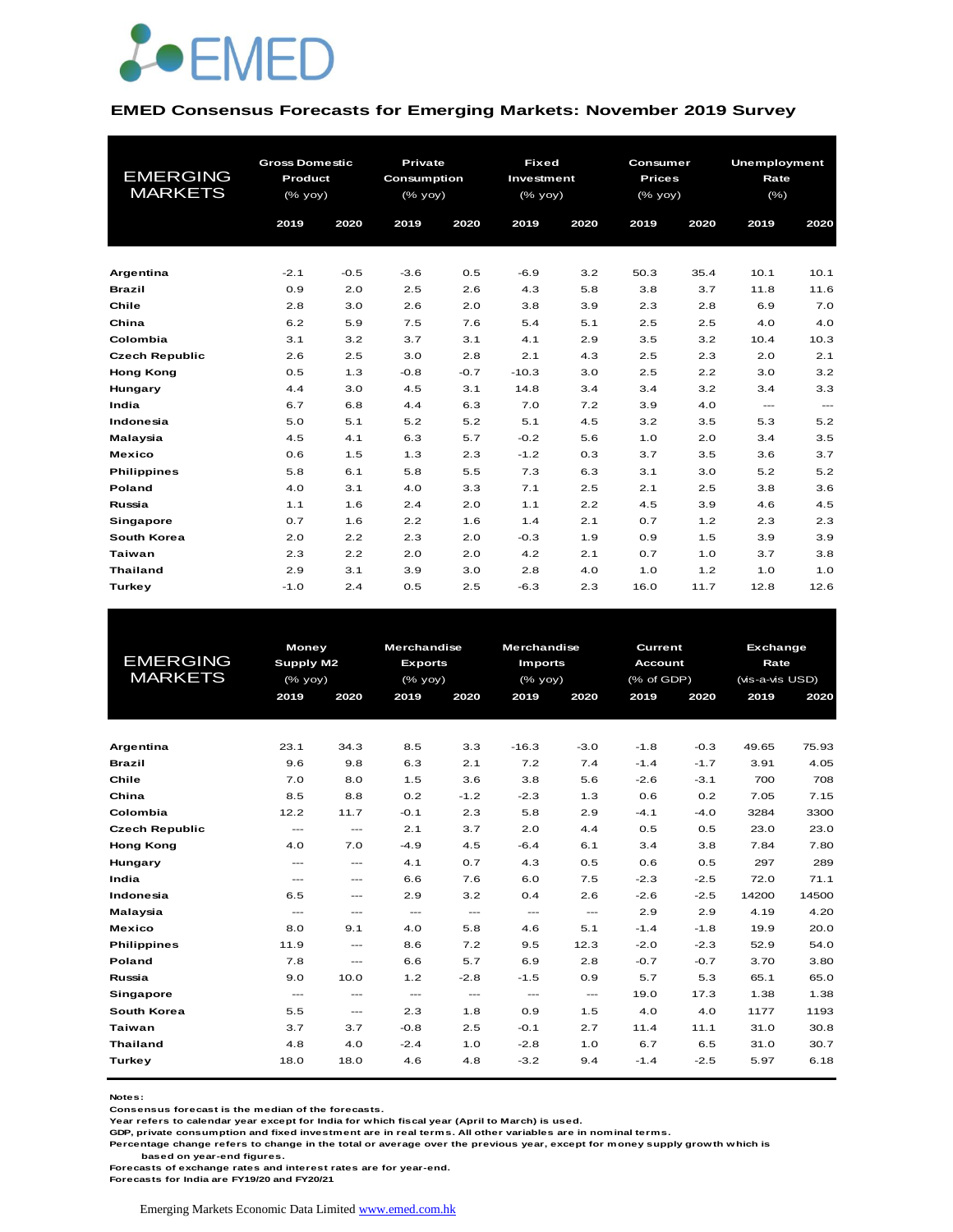

#### **EMED Consensus Forecasts for Emerging Markets: November 2019 Survey**

|                       | <b>Gross Domestic</b> |        | <b>Private</b> |        | <b>Fixed</b> |      | Consumer      |      | Unemployment |                                                                                                                                                                                                                                                                                                                                                              |
|-----------------------|-----------------------|--------|----------------|--------|--------------|------|---------------|------|--------------|--------------------------------------------------------------------------------------------------------------------------------------------------------------------------------------------------------------------------------------------------------------------------------------------------------------------------------------------------------------|
| <b>EMERGING</b>       | Product               |        | Consumption    |        | Investment   |      | <b>Prices</b> |      | Rate         |                                                                                                                                                                                                                                                                                                                                                              |
| <b>MARKETS</b>        | (% yoy)               |        | $(%$ (% yoy)   |        | (% yoy)      |      | (% yoy)       |      | (% )         |                                                                                                                                                                                                                                                                                                                                                              |
|                       | 2019                  | 2020   | 2019           | 2020   | 2019         | 2020 | 2019          | 2020 | 2019         | 2020                                                                                                                                                                                                                                                                                                                                                         |
|                       |                       |        |                |        |              |      |               |      |              |                                                                                                                                                                                                                                                                                                                                                              |
|                       |                       |        |                |        |              |      |               |      |              |                                                                                                                                                                                                                                                                                                                                                              |
| Argentina             | $-2.1$                | $-0.5$ | $-3.6$         | 0.5    | $-6.9$       | 3.2  | 50.3          | 35.4 | 10.1         | 10.1                                                                                                                                                                                                                                                                                                                                                         |
| <b>Brazil</b>         | 0.9                   | 2.0    | 2.5            | 2.6    | 4.3          | 5.8  | 3.8           | 3.7  | 11.8         | 11.6                                                                                                                                                                                                                                                                                                                                                         |
| Chile                 | 2.8                   | 3.0    | 2.6            | 2.0    | 3.8          | 3.9  | 2.3           | 2.8  | 6.9          | 7.0                                                                                                                                                                                                                                                                                                                                                          |
| China                 | 6.2                   | 5.9    | 7.5            | 7.6    | 5.4          | 5.1  | 2.5           | 2.5  | 4.0          | 4.0                                                                                                                                                                                                                                                                                                                                                          |
| Colombia              | 3.1                   | 3.2    | 3.7            | 3.1    | 4.1          | 2.9  | 3.5           | 3.2  | 10.4         | 10.3                                                                                                                                                                                                                                                                                                                                                         |
| <b>Czech Republic</b> | 2.6                   | 2.5    | 3.0            | 2.8    | 2.1          | 4.3  | 2.5           | 2.3  | 2.0          | 2.1                                                                                                                                                                                                                                                                                                                                                          |
| <b>Hong Kong</b>      | 0.5                   | 1.3    | $-0.8$         | $-0.7$ | $-10.3$      | 3.0  | 2.5           | 2.2  | 3.0          | 3.2                                                                                                                                                                                                                                                                                                                                                          |
| Hungary               | 4.4                   | 3.0    | 4.5            | 3.1    | 14.8         | 3.4  | 3.4           | 3.2  | 3.4          | 3.3                                                                                                                                                                                                                                                                                                                                                          |
| India                 | 6.7                   | 6.8    | 4.4            | 6.3    | 7.0          | 7.2  | 3.9           | 4.0  | $---$        | $\hspace{1.5cm} \rule{1.5cm}{0.15cm} \hspace{1.5cm} \rule{1.5cm}{0.15cm} \hspace{1.5cm} \rule{1.5cm}{0.15cm} \hspace{1.5cm} \rule{1.5cm}{0.15cm} \hspace{1.5cm} \rule{1.5cm}{0.15cm} \hspace{1.5cm} \rule{1.5cm}{0.15cm} \hspace{1.5cm} \rule{1.5cm}{0.15cm} \hspace{1.5cm} \rule{1.5cm}{0.15cm} \hspace{1.5cm} \rule{1.5cm}{0.15cm} \hspace{1.5cm} \rule{1$ |
| Indonesia             | 5.0                   | 5.1    | 5.2            | 5.2    | 5.1          | 4.5  | 3.2           | 3.5  | 5.3          | 5.2                                                                                                                                                                                                                                                                                                                                                          |
| Malaysia              | 4.5                   | 4.1    | 6.3            | 5.7    | $-0.2$       | 5.6  | 1.0           | 2.0  | 3.4          | 3.5                                                                                                                                                                                                                                                                                                                                                          |
| <b>Mexico</b>         | 0.6                   | 1.5    | 1.3            | 2.3    | $-1.2$       | 0.3  | 3.7           | 3.5  | 3.6          | 3.7                                                                                                                                                                                                                                                                                                                                                          |
| <b>Philippines</b>    | 5.8                   | 6.1    | 5.8            | 5.5    | 7.3          | 6.3  | 3.1           | 3.0  | 5.2          | 5.2                                                                                                                                                                                                                                                                                                                                                          |
| Poland                | 4.0                   | 3.1    | 4.0            | 3.3    | 7.1          | 2.5  | 2.1           | 2.5  | 3.8          | 3.6                                                                                                                                                                                                                                                                                                                                                          |
| Russia                | 1.1                   | 1.6    | 2.4            | 2.0    | 1.1          | 2.2  | 4.5           | 3.9  | 4.6          | 4.5                                                                                                                                                                                                                                                                                                                                                          |
| Singapore             | 0.7                   | 1.6    | 2.2            | 1.6    | 1.4          | 2.1  | 0.7           | 1.2  | 2.3          | 2.3                                                                                                                                                                                                                                                                                                                                                          |
| South Korea           | 2.0                   | 2.2    | 2.3            | 2.0    | $-0.3$       | 1.9  | 0.9           | 1.5  | 3.9          | 3.9                                                                                                                                                                                                                                                                                                                                                          |
| Taiwan                | 2.3                   | 2.2    | 2.0            | 2.0    | 4.2          | 2.1  | 0.7           | 1.0  | 3.7          | 3.8                                                                                                                                                                                                                                                                                                                                                          |
| <b>Thailand</b>       | 2.9                   | 3.1    | 3.9            | 3.0    | 2.8          | 4.0  | 1.0           | 1.2  | 1.0          | 1.0                                                                                                                                                                                                                                                                                                                                                          |
| Turkey                | $-1.0$                | 2.4    | 0.5            | 2.5    | $-6.3$       | 2.3  | 16.0          | 11.7 | 12.8         | 12.6                                                                                                                                                                                                                                                                                                                                                         |

|                       | <b>Money</b>             |                                          | <b>Merchandise</b> |               | <b>Merchandise</b>                  |               | <b>Current</b> |        | <b>Exchange</b> |       |
|-----------------------|--------------------------|------------------------------------------|--------------------|---------------|-------------------------------------|---------------|----------------|--------|-----------------|-------|
| <b>EMERGING</b>       | Supply M2                |                                          | <b>Exports</b>     |               | <b>Imports</b>                      |               | <b>Account</b> |        | Rate            |       |
| <b>MARKETS</b>        | (% yoy)                  |                                          | $(%$ (% yoy)       |               | (% yoy)                             |               | (% of GDP)     |        | (vis-a-vis USD) |       |
|                       | 2019                     | 2020                                     | 2019               | 2020          | 2019                                | 2020          | 2019           | 2020   | 2019            | 2020  |
|                       |                          |                                          |                    |               |                                     |               |                |        |                 |       |
|                       |                          |                                          |                    |               |                                     |               |                |        |                 |       |
| Argentina             | 23.1                     | 34.3                                     | 8.5                | 3.3           | $-16.3$                             | $-3.0$        | $-1.8$         | $-0.3$ | 49.65           | 75.93 |
| <b>Brazil</b>         | 9.6                      | 9.8                                      | 6.3                | 2.1           | 7.2                                 | 7.4           | $-1.4$         | $-1.7$ | 3.91            | 4.05  |
| Chile                 | 7.0                      | 8.0                                      | 1.5                | 3.6           | 3.8                                 | 5.6           | $-2.6$         | $-3.1$ | 700             | 708   |
| China                 | 8.5                      | 8.8                                      | 0.2                | $-1.2$        | $-2.3$                              | 1.3           | 0.6            | 0.2    | 7.05            | 7.15  |
| Colombia              | 12.2                     | 11.7                                     | $-0.1$             | 2.3           | 5.8                                 | 2.9           | $-4.1$         | $-4.0$ | 3284            | 3300  |
| <b>Czech Republic</b> | $\hspace{0.05cm} \ldots$ | $\cdots$                                 | 2.1                | 3.7           | 2.0                                 | 4.4           | 0.5            | 0.5    | 23.0            | 23.0  |
| <b>Hong Kong</b>      | 4.0                      | 7.0                                      | $-4.9$             | 4.5           | $-6.4$                              | 6.1           | 3.4            | 3.8    | 7.84            | 7.80  |
| Hungary               | $---$                    | $---$                                    | 4.1                | 0.7           | 4.3                                 | 0.5           | 0.6            | 0.5    | 297             | 289   |
| India                 | $\cdots$                 | $---$                                    | 6.6                | 7.6           | 6.0                                 | 7.5           | $-2.3$         | $-2.5$ | 72.0            | 71.1  |
| Indonesia             | 6.5                      | $---$                                    | 2.9                | 3.2           | 0.4                                 | 2.6           | $-2.6$         | $-2.5$ | 14200           | 14500 |
| Malaysia              | $\frac{1}{2}$            | ---                                      | $\frac{1}{2}$      | $\frac{1}{2}$ | $\frac{1}{2}$                       | $\frac{1}{2}$ | 2.9            | 2.9    | 4.19            | 4.20  |
| <b>Mexico</b>         | 8.0                      | 9.1                                      | 4.0                | 5.8           | 4.6                                 | 5.1           | $-1.4$         | $-1.8$ | 19.9            | 20.0  |
| <b>Philippines</b>    | 11.9                     | $---$                                    | 8.6                | 7.2           | 9.5                                 | 12.3          | $-2.0$         | $-2.3$ | 52.9            | 54.0  |
| <b>Poland</b>         | 7.8                      | $\hspace{0.05cm} \ldots \hspace{0.05cm}$ | 6.6                | 5.7           | 6.9                                 | 2.8           | $-0.7$         | $-0.7$ | 3.70            | 3.80  |
| Russia                | 9.0                      | 10.0                                     | 1.2                | $-2.8$        | $-1.5$                              | 0.9           | 5.7            | 5.3    | 65.1            | 65.0  |
| Singapore             | $\frac{1}{2}$            | $---$                                    | $\cdots$           | $\cdots$      | $\hspace{0.05cm}---\hspace{0.05cm}$ | ---           | 19.0           | 17.3   | 1.38            | 1.38  |
| South Korea           | 5.5                      | $\hspace{0.05cm} \ldots \hspace{0.05cm}$ | 2.3                | 1.8           | 0.9                                 | 1.5           | 4.0            | 4.0    | 1177            | 1193  |
| Taiwan                | 3.7                      | 3.7                                      | $-0.8$             | 2.5           | $-0.1$                              | 2.7           | 11.4           | 11.1   | 31.0            | 30.8  |
| <b>Thailand</b>       | 4.8                      | 4.0                                      | $-2.4$             | 1.0           | $-2.8$                              | 1.0           | 6.7            | 6.5    | 31.0            | 30.7  |
| Turkey                | 18.0                     | 18.0                                     | 4.6                | 4.8           | $-3.2$                              | 9.4           | $-1.4$         | $-2.5$ | 5.97            | 6.18  |
|                       |                          |                                          |                    |               |                                     |               |                |        |                 |       |

**Notes:** 

**Consensus forecast is the median of the forecasts.**

**Year refers to calendar year except for India for which fiscal year (April to March) is used.**

**GDP, private consumption and fixed investment are in real terms. All other variables are in nominal terms.**

**Percentage change refers to change in the total or average over the previous year, except for money supply growth which is** 

 **based on year-end figures.**

**Forecasts of exchange rates and interest rates are for year-end.**

**Forecasts for India are FY19/20 and FY20/21**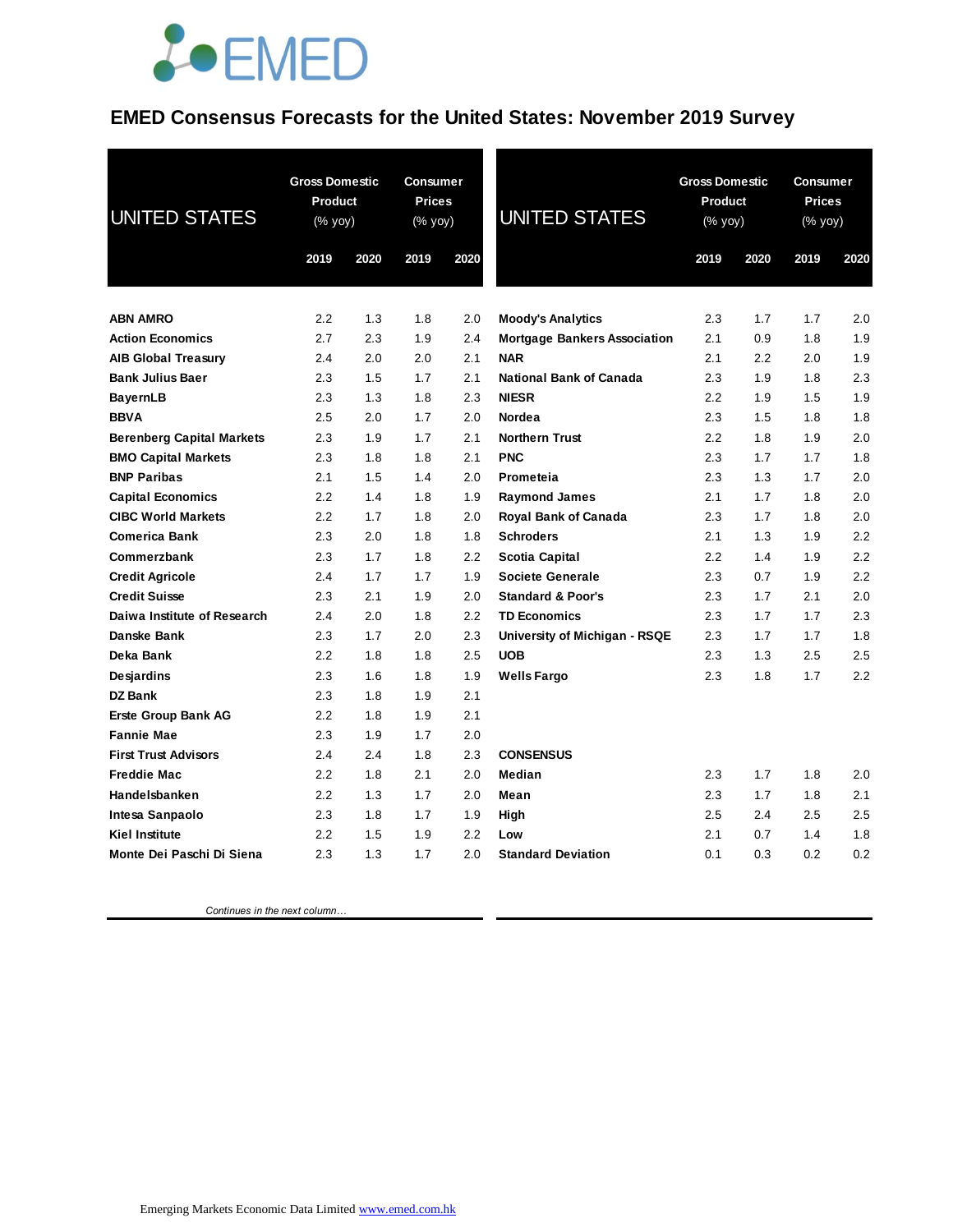## **JOEMED**

### **EMED Consensus Forecasts for the United States: November 2019 Survey**

| UNITED STATES                                  | <b>Gross Domestic</b><br>Product<br>(% yoy) |            | Consumer<br><b>Prices</b><br>(% yoy) |            | <b>UNITED STATES</b>                      | <b>Gross Domestic</b><br>Product<br>(% yoy) |            | Consumer<br><b>Prices</b><br>(% yoy) |            |
|------------------------------------------------|---------------------------------------------|------------|--------------------------------------|------------|-------------------------------------------|---------------------------------------------|------------|--------------------------------------|------------|
|                                                | 2019                                        | 2020       | 2019                                 | 2020       |                                           | 2019                                        | 2020       | 2019                                 | 2020       |
|                                                |                                             |            |                                      |            |                                           |                                             |            |                                      |            |
| <b>ABN AMRO</b>                                | 2.2                                         | 1.3        | 1.8                                  | 2.0        | <b>Moody's Analytics</b>                  | 2.3                                         | 1.7        | 1.7                                  | 2.0        |
| <b>Action Economics</b>                        | 2.7                                         | 2.3        | 1.9                                  | 2.4        | <b>Mortgage Bankers Association</b>       | 2.1                                         | 0.9        | 1.8                                  | 1.9        |
| <b>AIB Global Treasury</b>                     | 2.4                                         | 2.0        | 2.0                                  | 2.1        | <b>NAR</b>                                | 2.1                                         | 2.2        | 2.0                                  | 1.9        |
| <b>Bank Julius Baer</b>                        | 2.3                                         | 1.5        | 1.7                                  | 2.1        | <b>National Bank of Canada</b>            | 2.3                                         | 1.9        | 1.8                                  | 2.3        |
| <b>BayernLB</b>                                | 2.3                                         | 1.3        | 1.8                                  | 2.3        | <b>NIESR</b>                              | 2.2                                         | 1.9        | 1.5                                  | 1.9        |
| <b>BBVA</b>                                    | 2.5                                         | 2.0        | 1.7                                  | 2.0        | Nordea                                    | 2.3                                         | 1.5        | 1.8                                  | 1.8        |
| <b>Berenberg Capital Markets</b>               | 2.3                                         | 1.9        | 1.7                                  | 2.1        | <b>Northern Trust</b>                     | 2.2                                         | 1.8        | 1.9                                  | 2.0        |
| <b>BMO Capital Markets</b>                     | 2.3                                         | 1.8        | 1.8                                  | 2.1        | <b>PNC</b>                                | 2.3                                         | 1.7        | 1.7                                  | 1.8        |
| <b>BNP Paribas</b>                             | 2.1                                         | 1.5        | 1.4                                  | 2.0        | Prometeia                                 | 2.3                                         | 1.3        | 1.7                                  | 2.0        |
| <b>Capital Economics</b>                       | 2.2                                         | 1.4        | 1.8                                  | 1.9        | <b>Raymond James</b>                      | 2.1                                         | 1.7        | 1.8                                  | 2.0        |
| <b>CIBC World Markets</b>                      | 2.2                                         | 1.7        | 1.8                                  | 2.0        | Royal Bank of Canada                      | 2.3                                         | 1.7        | 1.8                                  | 2.0        |
| <b>Comerica Bank</b>                           | 2.3<br>2.3                                  | 2.0        | 1.8                                  | 1.8        | <b>Schroders</b>                          | 2.1<br>2.2                                  | 1.3        | 1.9                                  | 2.2<br>2.2 |
| Commerzbank                                    | 2.4                                         | 1.7<br>1.7 | 1.8<br>1.7                           | 2.2<br>1.9 | Scotia Capital<br><b>Societe Generale</b> | 2.3                                         | 1.4<br>0.7 | 1.9<br>1.9                           | 2.2        |
| <b>Credit Agricole</b><br><b>Credit Suisse</b> | 2.3                                         | 2.1        | 1.9                                  | 2.0        | <b>Standard &amp; Poor's</b>              | 2.3                                         | 1.7        | 2.1                                  | 2.0        |
| Daiwa Institute of Research                    | 2.4                                         | 2.0        | 1.8                                  | 2.2        | <b>TD Economics</b>                       | 2.3                                         | 1.7        | 1.7                                  | 2.3        |
| Danske Bank                                    | 2.3                                         | 1.7        | 2.0                                  | 2.3        | University of Michigan - RSQE             | 2.3                                         | 1.7        | 1.7                                  | 1.8        |
| Deka Bank                                      | 2.2                                         | 1.8        | 1.8                                  | 2.5        | <b>UOB</b>                                | 2.3                                         | 1.3        | 2.5                                  | 2.5        |
| Desjardins                                     | 2.3                                         | 1.6        | 1.8                                  | 1.9        | <b>Wells Fargo</b>                        | 2.3                                         | 1.8        | 1.7                                  | 2.2        |
| <b>DZ Bank</b>                                 | 2.3                                         | 1.8        | 1.9                                  | 2.1        |                                           |                                             |            |                                      |            |
| <b>Erste Group Bank AG</b>                     | 2.2                                         | 1.8        | 1.9                                  | 2.1        |                                           |                                             |            |                                      |            |
| <b>Fannie Mae</b>                              | 2.3                                         | 1.9        | 1.7                                  | 2.0        |                                           |                                             |            |                                      |            |
| <b>First Trust Advisors</b>                    | 2.4                                         | 2.4        | 1.8                                  | 2.3        | <b>CONSENSUS</b>                          |                                             |            |                                      |            |
| <b>Freddie Mac</b>                             | 2.2                                         | 1.8        | 2.1                                  | 2.0        | Median                                    | 2.3                                         | 1.7        | 1.8                                  | 2.0        |
| Handelsbanken                                  | 2.2                                         | 1.3        | 1.7                                  | 2.0        | Mean                                      | 2.3                                         | 1.7        | 1.8                                  | 2.1        |
| Intesa Sanpaolo                                | 2.3                                         | 1.8        | 1.7                                  | 1.9        | High                                      | 2.5                                         | 2.4        | 2.5                                  | 2.5        |
| <b>Kiel Institute</b>                          | 2.2                                         | 1.5        | 1.9                                  | 2.2        | Low                                       | 2.1                                         | 0.7        | 1.4                                  | 1.8        |
| Monte Dei Paschi Di Siena                      | 2.3                                         | 1.3        | 1.7                                  | 2.0        | <b>Standard Deviation</b>                 | 0.1                                         | 0.3        | 0.2                                  | 0.2        |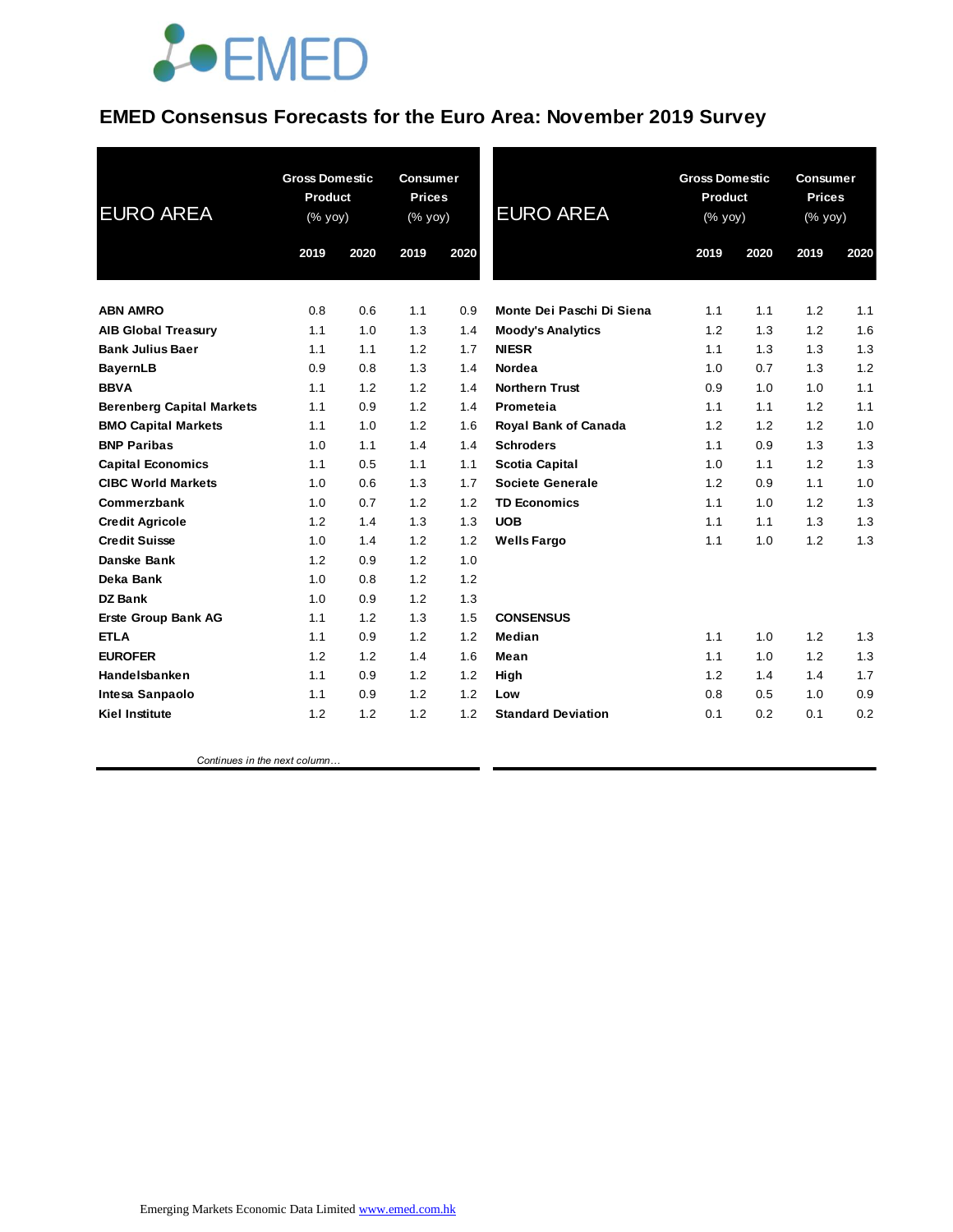

### **EMED Consensus Forecasts for the Euro Area: November 2019 Survey**

| <b>EURO AREA</b>                 | <b>Gross Domestic</b><br>Product<br>(% yoy) |      | <b>Consumer</b><br><b>Prices</b><br>(% yoy) |      | <b>EURO AREA</b>            | <b>Gross Domestic</b><br>Product<br>(% yoy) |      | <b>Consumer</b><br><b>Prices</b><br>(% yoy) |      |
|----------------------------------|---------------------------------------------|------|---------------------------------------------|------|-----------------------------|---------------------------------------------|------|---------------------------------------------|------|
|                                  | 2019                                        | 2020 | 2019                                        | 2020 |                             | 2019                                        | 2020 | 2019                                        | 2020 |
| <b>ABN AMRO</b>                  | 0.8                                         | 0.6  | 1.1                                         | 0.9  | Monte Dei Paschi Di Siena   | 1.1                                         | 1.1  | 1.2                                         | 1.1  |
| <b>AIB Global Treasury</b>       | 1.1                                         | 1.0  | 1.3                                         | 1.4  | <b>Moody's Analytics</b>    | 1.2                                         | 1.3  | 1.2                                         | 1.6  |
| <b>Bank Julius Baer</b>          | 1.1                                         | 1.1  | 1.2                                         | 1.7  | <b>NIESR</b>                | 1.1                                         | 1.3  | 1.3                                         | 1.3  |
| <b>BayernLB</b>                  | 0.9                                         | 0.8  | 1.3                                         | 1.4  | Nordea                      | 1.0                                         | 0.7  | 1.3                                         | 1.2  |
| <b>BBVA</b>                      | 1.1                                         | 1.2  | 1.2                                         | 1.4  | <b>Northern Trust</b>       | 0.9                                         | 1.0  | 1.0                                         | 1.1  |
| <b>Berenberg Capital Markets</b> | 1.1                                         | 0.9  | 1.2                                         | 1.4  | Prometeia                   | 1.1                                         | 1.1  | 1.2                                         | 1.1  |
| <b>BMO Capital Markets</b>       | 1.1                                         | 1.0  | 1.2                                         | 1.6  | <b>Royal Bank of Canada</b> | 1.2                                         | 1.2  | 1.2                                         | 1.0  |
| <b>BNP Paribas</b>               | 1.0                                         | 1.1  | 1.4                                         | 1.4  | <b>Schroders</b>            | 1.1                                         | 0.9  | 1.3                                         | 1.3  |
| <b>Capital Economics</b>         | 1.1                                         | 0.5  | 1.1                                         | 1.1  | <b>Scotia Capital</b>       | 1.0                                         | 1.1  | 1.2                                         | 1.3  |
| <b>CIBC World Markets</b>        | 1.0                                         | 0.6  | 1.3                                         | 1.7  | Societe Generale            | 1.2                                         | 0.9  | 1.1                                         | 1.0  |
| Commerzbank                      | 1.0                                         | 0.7  | 1.2                                         | 1.2  | <b>TD Economics</b>         | 1.1                                         | 1.0  | 1.2                                         | 1.3  |
| <b>Credit Agricole</b>           | 1.2                                         | 1.4  | 1.3                                         | 1.3  | <b>UOB</b>                  | 1.1                                         | 1.1  | 1.3                                         | 1.3  |
| <b>Credit Suisse</b>             | 1.0                                         | 1.4  | 1.2                                         | 1.2  | <b>Wells Fargo</b>          | 1.1                                         | 1.0  | 1.2                                         | 1.3  |
| Danske Bank                      | 1.2                                         | 0.9  | 1.2                                         | 1.0  |                             |                                             |      |                                             |      |
| Deka Bank                        | 1.0                                         | 0.8  | 1.2                                         | 1.2  |                             |                                             |      |                                             |      |
| <b>DZ Bank</b>                   | 1.0                                         | 0.9  | 1.2                                         | 1.3  |                             |                                             |      |                                             |      |
| <b>Erste Group Bank AG</b>       | 1.1                                         | 1.2  | 1.3                                         | 1.5  | <b>CONSENSUS</b>            |                                             |      |                                             |      |
| <b>ETLA</b>                      | 1.1                                         | 0.9  | 1.2                                         | 1.2  | Median                      | 1.1                                         | 1.0  | 1.2                                         | 1.3  |
| <b>EUROFER</b>                   | 1.2                                         | 1.2  | 1.4                                         | 1.6  | Mean                        | 1.1                                         | 1.0  | 1.2                                         | 1.3  |
| Handelsbanken                    | 1.1                                         | 0.9  | 1.2                                         | 1.2  | High                        | 1.2                                         | 1.4  | 1.4                                         | 1.7  |
| Intesa Sanpaolo                  | 1.1                                         | 0.9  | 1.2                                         | 1.2  | Low                         | 0.8                                         | 0.5  | 1.0                                         | 0.9  |
| <b>Kiel Institute</b>            | 1.2                                         | 1.2  | 1.2                                         | 1.2  | <b>Standard Deviation</b>   | 0.1                                         | 0.2  | 0.1                                         | 0.2  |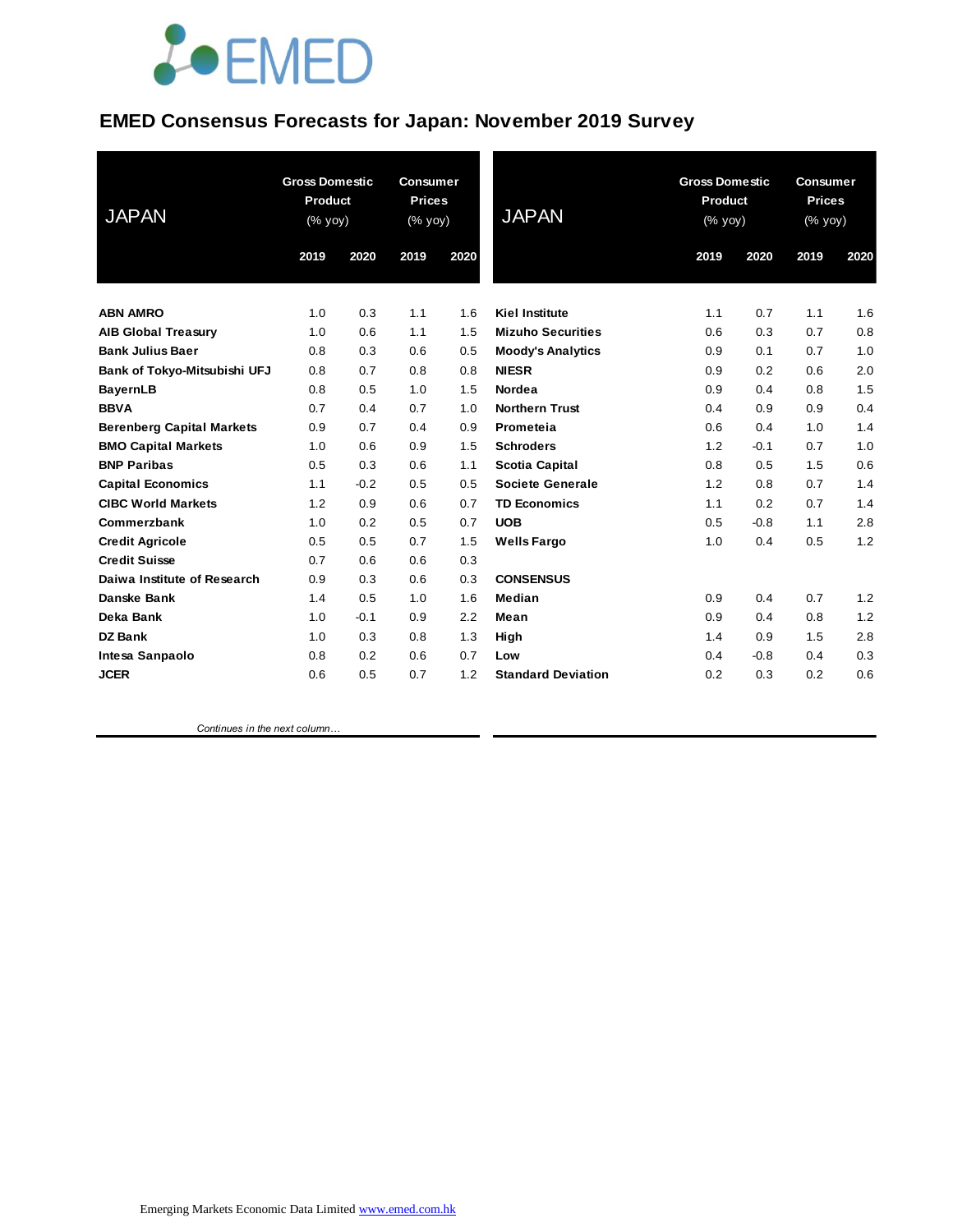## **JOEMED**

#### **EMED Consensus Forecasts for Japan: November 2019 Survey**

|                                  | <b>Gross Domestic</b><br>Product |        | <b>Consumer</b><br><b>Prices</b> |      | <b>JAPAN</b>              | <b>Gross Domestic</b><br><b>Product</b> |        | <b>Consumer</b><br><b>Prices</b> |                                                       |  |
|----------------------------------|----------------------------------|--------|----------------------------------|------|---------------------------|-----------------------------------------|--------|----------------------------------|-------------------------------------------------------|--|
| <b>JAPAN</b>                     | (% yoy)                          |        | (% yoy)                          |      |                           | (% yoy)                                 |        |                                  | $(% \mathsf{y}\right)$ (% $\overline{\mathsf{y}}$ oy) |  |
|                                  | 2019                             | 2020   | 2019                             | 2020 |                           | 2019                                    | 2020   | 2019                             | 2020                                                  |  |
| <b>ABN AMRO</b>                  | 1.0                              | 0.3    | 1.1                              | 1.6  | <b>Kiel Institute</b>     | 1.1                                     | 0.7    | 1.1                              | 1.6                                                   |  |
| <b>AIB Global Treasury</b>       | 1.0                              | 0.6    | 1.1                              | 1.5  | <b>Mizuho Securities</b>  | 0.6                                     | 0.3    | 0.7                              | 0.8                                                   |  |
| <b>Bank Julius Baer</b>          | 0.8                              | 0.3    | 0.6                              | 0.5  | <b>Moody's Analytics</b>  | 0.9                                     | 0.1    | 0.7                              | 1.0                                                   |  |
| Bank of Tokyo-Mitsubishi UFJ     | 0.8                              | 0.7    | 0.8                              | 0.8  | <b>NIESR</b>              | 0.9                                     | 0.2    | 0.6                              | 2.0                                                   |  |
| <b>BayernLB</b>                  | 0.8                              | 0.5    | 1.0                              | 1.5  | Nordea                    | 0.9                                     | 0.4    | 0.8                              | 1.5                                                   |  |
| <b>BBVA</b>                      | 0.7                              | 0.4    | 0.7                              | 1.0  | <b>Northern Trust</b>     | 0.4                                     | 0.9    | 0.9                              | 0.4                                                   |  |
| <b>Berenberg Capital Markets</b> | 0.9                              | 0.7    | 0.4                              | 0.9  | Prometeia                 | 0.6                                     | 0.4    | 1.0                              | 1.4                                                   |  |
| <b>BMO Capital Markets</b>       | 1.0                              | 0.6    | 0.9                              | 1.5  | <b>Schroders</b>          | 1.2                                     | $-0.1$ | 0.7                              | 1.0                                                   |  |
| <b>BNP Paribas</b>               | 0.5                              | 0.3    | 0.6                              | 1.1  | <b>Scotia Capital</b>     | 0.8                                     | 0.5    | 1.5                              | 0.6                                                   |  |
| <b>Capital Economics</b>         | 1.1                              | $-0.2$ | 0.5                              | 0.5  | <b>Societe Generale</b>   | 1.2                                     | 0.8    | 0.7                              | 1.4                                                   |  |
| <b>CIBC World Markets</b>        | 1.2                              | 0.9    | 0.6                              | 0.7  | <b>TD Economics</b>       | 1.1                                     | 0.2    | 0.7                              | 1.4                                                   |  |
| Commerzbank                      | 1.0                              | 0.2    | 0.5                              | 0.7  | <b>UOB</b>                | 0.5                                     | $-0.8$ | 1.1                              | 2.8                                                   |  |
| <b>Credit Agricole</b>           | 0.5                              | 0.5    | 0.7                              | 1.5  | <b>Wells Fargo</b>        | 1.0                                     | 0.4    | 0.5                              | 1.2                                                   |  |
| <b>Credit Suisse</b>             | 0.7                              | 0.6    | 0.6                              | 0.3  |                           |                                         |        |                                  |                                                       |  |
| Daiwa Institute of Research      | 0.9                              | 0.3    | 0.6                              | 0.3  | <b>CONSENSUS</b>          |                                         |        |                                  |                                                       |  |
| Danske Bank                      | 1.4                              | 0.5    | 1.0                              | 1.6  | Median                    | 0.9                                     | 0.4    | 0.7                              | 1.2                                                   |  |
| Deka Bank                        | 1.0                              | $-0.1$ | 0.9                              | 2.2  | Mean                      | 0.9                                     | 0.4    | 0.8                              | 1.2                                                   |  |
| <b>DZ Bank</b>                   | 1.0                              | 0.3    | 0.8                              | 1.3  | High                      | 1.4                                     | 0.9    | 1.5                              | 2.8                                                   |  |
| Intesa Sanpaolo                  | 0.8                              | 0.2    | 0.6                              | 0.7  | Low                       | 0.4                                     | $-0.8$ | 0.4                              | 0.3                                                   |  |
| <b>JCER</b>                      | 0.6                              | 0.5    | 0.7                              | 1.2  | <b>Standard Deviation</b> | 0.2                                     | 0.3    | 0.2                              | 0.6                                                   |  |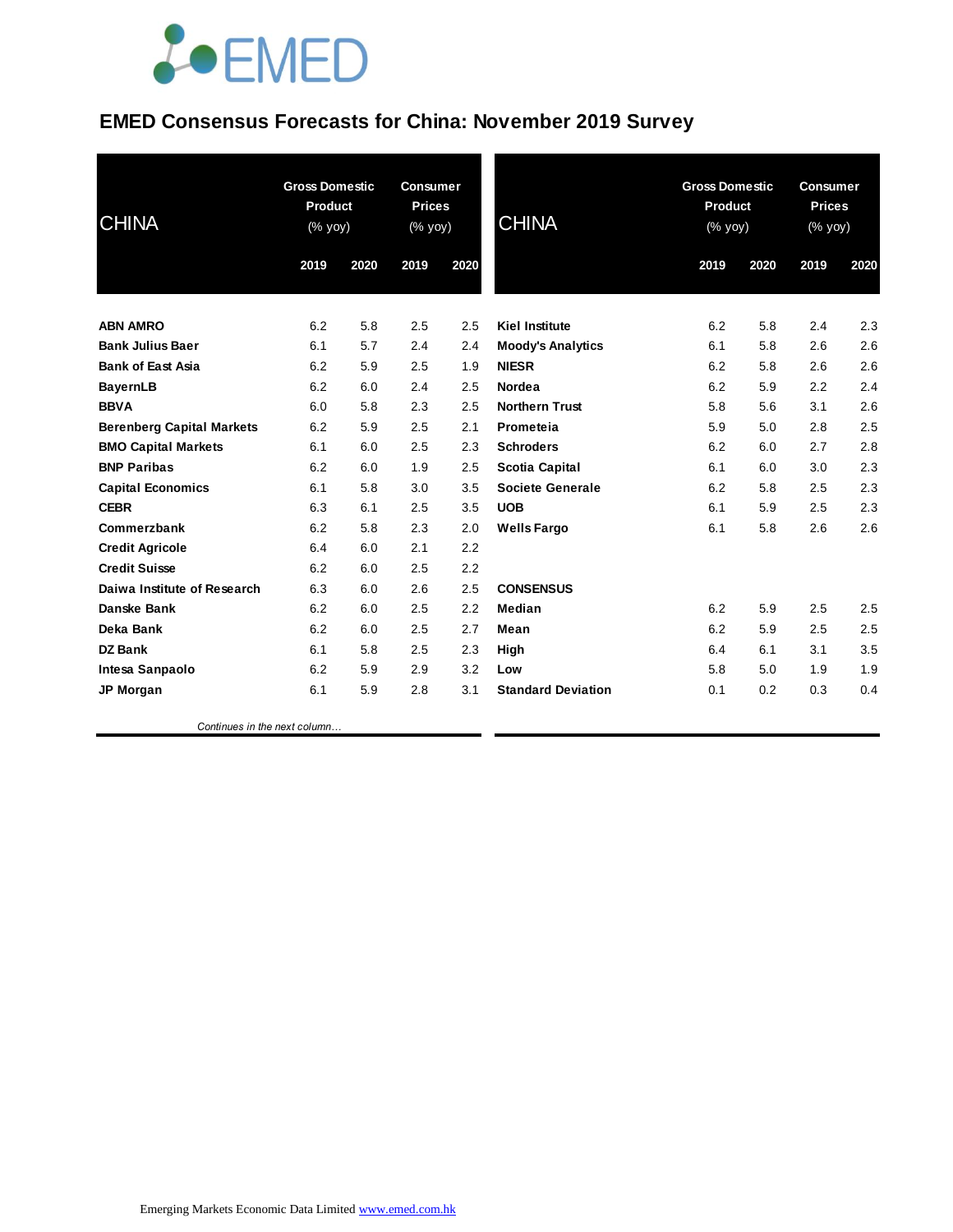# **JOEMED**

### **EMED Consensus Forecasts for China: November 2019 Survey**

| <b>CHINA</b>                     | <b>Gross Domestic</b><br><b>Product</b><br>$(% \mathsf{Y}\rightarrow \mathsf{Y})$ (% $\mathsf{Y}\rightarrow \mathsf{Y}$ |      | <b>Consumer</b><br><b>Prices</b><br>(% yoy) |      | <b>CHINA</b>              |      | <b>Gross Domestic</b><br>Product<br>(% yoy) |      | <b>Consumer</b><br><b>Prices</b><br>(% yoy) |  |
|----------------------------------|-------------------------------------------------------------------------------------------------------------------------|------|---------------------------------------------|------|---------------------------|------|---------------------------------------------|------|---------------------------------------------|--|
|                                  | 2019                                                                                                                    | 2020 | 2019                                        | 2020 |                           | 2019 | 2020                                        | 2019 | 2020                                        |  |
| <b>ABN AMRO</b>                  | 6.2                                                                                                                     | 5.8  | 2.5                                         | 2.5  | <b>Kiel Institute</b>     | 6.2  | 5.8                                         | 2.4  | 2.3                                         |  |
| <b>Bank Julius Baer</b>          | 6.1                                                                                                                     | 5.7  | 2.4                                         | 2.4  | <b>Moody's Analytics</b>  | 6.1  | 5.8                                         | 2.6  | 2.6                                         |  |
| <b>Bank of East Asia</b>         | 6.2                                                                                                                     | 5.9  | 2.5                                         | 1.9  | <b>NIESR</b>              | 6.2  | 5.8                                         | 2.6  | 2.6                                         |  |
| <b>BayernLB</b>                  | 6.2                                                                                                                     | 6.0  | 2.4                                         | 2.5  | Nordea                    | 6.2  | 5.9                                         | 2.2  | 2.4                                         |  |
| <b>BBVA</b>                      | 6.0                                                                                                                     | 5.8  | 2.3                                         | 2.5  | <b>Northern Trust</b>     | 5.8  | 5.6                                         | 3.1  | 2.6                                         |  |
| <b>Berenberg Capital Markets</b> | 6.2                                                                                                                     | 5.9  | 2.5                                         | 2.1  | Prometeia                 | 5.9  | 5.0                                         | 2.8  | 2.5                                         |  |
| <b>BMO Capital Markets</b>       | 6.1                                                                                                                     | 6.0  | 2.5                                         | 2.3  | <b>Schroders</b>          | 6.2  | 6.0                                         | 2.7  | 2.8                                         |  |
| <b>BNP Paribas</b>               | 6.2                                                                                                                     | 6.0  | 1.9                                         | 2.5  | <b>Scotia Capital</b>     | 6.1  | 6.0                                         | 3.0  | 2.3                                         |  |
| <b>Capital Economics</b>         | 6.1                                                                                                                     | 5.8  | 3.0                                         | 3.5  | <b>Societe Generale</b>   | 6.2  | 5.8                                         | 2.5  | 2.3                                         |  |
| <b>CEBR</b>                      | 6.3                                                                                                                     | 6.1  | 2.5                                         | 3.5  | <b>UOB</b>                | 6.1  | 5.9                                         | 2.5  | 2.3                                         |  |
| Commerzbank                      | 6.2                                                                                                                     | 5.8  | 2.3                                         | 2.0  | <b>Wells Fargo</b>        | 6.1  | 5.8                                         | 2.6  | 2.6                                         |  |
| <b>Credit Agricole</b>           | 6.4                                                                                                                     | 6.0  | 2.1                                         | 2.2  |                           |      |                                             |      |                                             |  |
| <b>Credit Suisse</b>             | 6.2                                                                                                                     | 6.0  | 2.5                                         | 2.2  |                           |      |                                             |      |                                             |  |
| Daiwa Institute of Research      | 6.3                                                                                                                     | 6.0  | 2.6                                         | 2.5  | <b>CONSENSUS</b>          |      |                                             |      |                                             |  |
| Danske Bank                      | 6.2                                                                                                                     | 6.0  | 2.5                                         | 2.2  | Median                    | 6.2  | 5.9                                         | 2.5  | 2.5                                         |  |
| Deka Bank                        | 6.2                                                                                                                     | 6.0  | 2.5                                         | 2.7  | Mean                      | 6.2  | 5.9                                         | 2.5  | 2.5                                         |  |
| <b>DZ Bank</b>                   | 6.1                                                                                                                     | 5.8  | 2.5                                         | 2.3  | High                      | 6.4  | 6.1                                         | 3.1  | 3.5                                         |  |
| Intesa Sanpaolo                  | 6.2                                                                                                                     | 5.9  | 2.9                                         | 3.2  | Low                       | 5.8  | 5.0                                         | 1.9  | 1.9                                         |  |
| <b>JP Morgan</b>                 | 6.1                                                                                                                     | 5.9  | 2.8                                         | 3.1  | <b>Standard Deviation</b> | 0.1  | 0.2                                         | 0.3  | 0.4                                         |  |
|                                  |                                                                                                                         |      |                                             |      |                           |      |                                             |      |                                             |  |